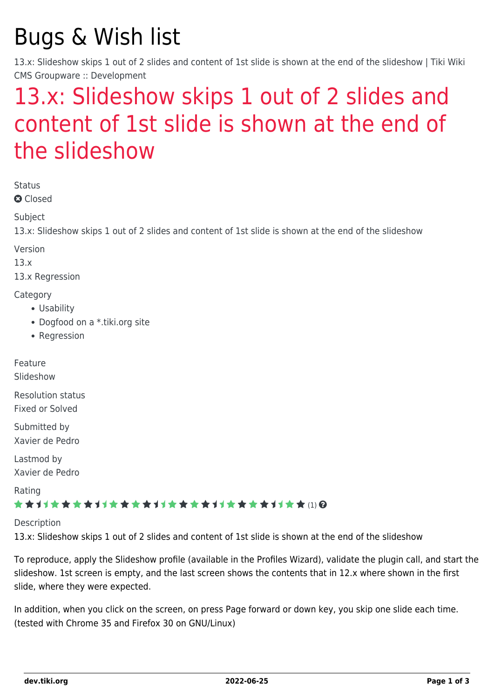# Bugs & Wish list

13.x: Slideshow skips 1 out of 2 slides and content of 1st slide is shown at the end of the slideshow | Tiki Wiki CMS Groupware :: Development

## [13.x: Slideshow skips 1 out of 2 slides and](https://dev.tiki.org/item5342-13-x-Slideshow-skips-1-out-of-2-slides-and-content-of-1st-slide-is-shown-at-the-end-of-the-slideshow) [content of 1st slide is shown at the end of](https://dev.tiki.org/item5342-13-x-Slideshow-skips-1-out-of-2-slides-and-content-of-1st-slide-is-shown-at-the-end-of-the-slideshow) [the slideshow](https://dev.tiki.org/item5342-13-x-Slideshow-skips-1-out-of-2-slides-and-content-of-1st-slide-is-shown-at-the-end-of-the-slideshow)

Status

**Q** Closed

**Subject** 

13.x: Slideshow skips 1 out of 2 slides and content of 1st slide is shown at the end of the slideshow

Version

13.x

13.x Regression

**Category** 

- Usability
- Dogfood on a \*.tiki.org site
- Regression

Feature

Slideshow

Resolution status Fixed or Solved

Submitted by Xavier de Pedro

Lastmod by Xavier de Pedro

Rating

#### \*\*\*\*\*\*\*\*\*\*\*\*\*\*\*\*\*\*\*\*\*\*\*\*\*\*\*\*\*\*

Description

13.x: Slideshow skips 1 out of 2 slides and content of 1st slide is shown at the end of the slideshow

To reproduce, apply the Slideshow profile (available in the Profiles Wizard), validate the plugin call, and start the slideshow. 1st screen is empty, and the last screen shows the contents that in 12.x where shown in the first slide, where they were expected.

In addition, when you click on the screen, on press Page forward or down key, you skip one slide each time. (tested with Chrome 35 and Firefox 30 on GNU/Linux)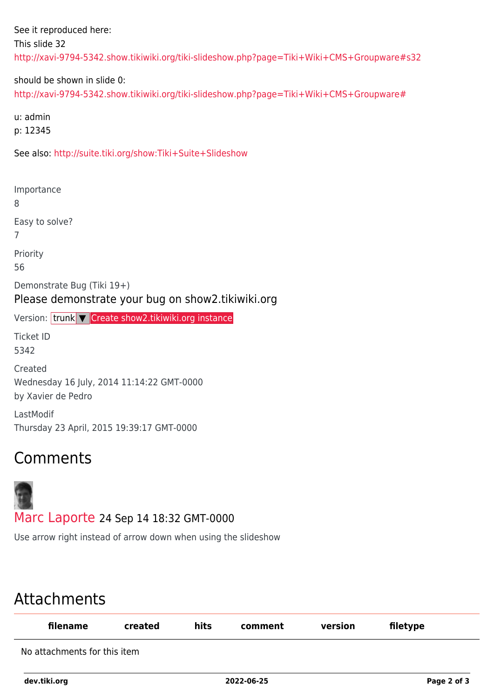See it reproduced here: This slide 32 <http://xavi-9794-5342.show.tikiwiki.org/tiki-slideshow.php?page=Tiki+Wiki+CMS+Groupware#s32>

should be shown in slide 0:

<http://xavi-9794-5342.show.tikiwiki.org/tiki-slideshow.php?page=Tiki+Wiki+CMS+Groupware#>

u: admin

p: 12345

See also:<http://suite.tiki.org/show:Tiki+Suite+Slideshow>

Importance 8 Easy to solve? 7 Priority 56 Demonstrate Bug (Tiki 19+) Please demonstrate your bug on show2.tikiwiki.org Version: trunk ▼ [Create show2.tikiwiki.org instance](#page--1-0) Ticket ID 5342 Created Wednesday 16 July, 2014 11:14:22 GMT-0000 by Xavier de Pedro LastModif Thursday 23 April, 2015 19:39:17 GMT-0000

### Comments



Use arrow right instead of arrow down when using the slideshow

### Attachments

| filename                     | created | hits | comment | version | filetype |
|------------------------------|---------|------|---------|---------|----------|
| No attachments for this item |         |      |         |         |          |